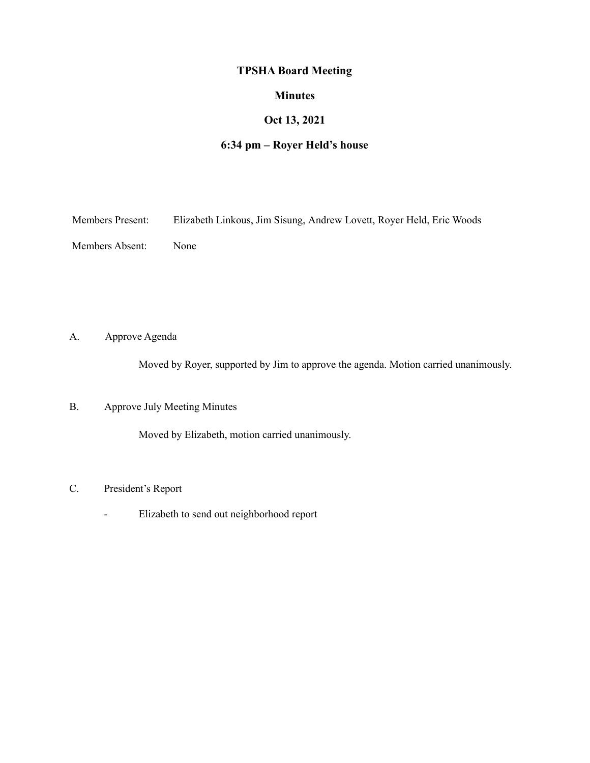## **TPSHA Board Meeting**

## **Minutes**

## **Oct 13, 2021**

# **6:34 pm – Royer Held's house**

| <b>Members Present:</b> | Elizabeth Linkous, Jim Sisung, Andrew Lovett, Royer Held, Eric Woods |  |  |  |
|-------------------------|----------------------------------------------------------------------|--|--|--|
|                         |                                                                      |  |  |  |

Members Absent: None

A. Approve Agenda

Moved by Royer, supported by Jim to approve the agenda. Motion carried unanimously.

# B. Approve July Meeting Minutes

Moved by Elizabeth, motion carried unanimously.

# C. President's Report

- Elizabeth to send out neighborhood report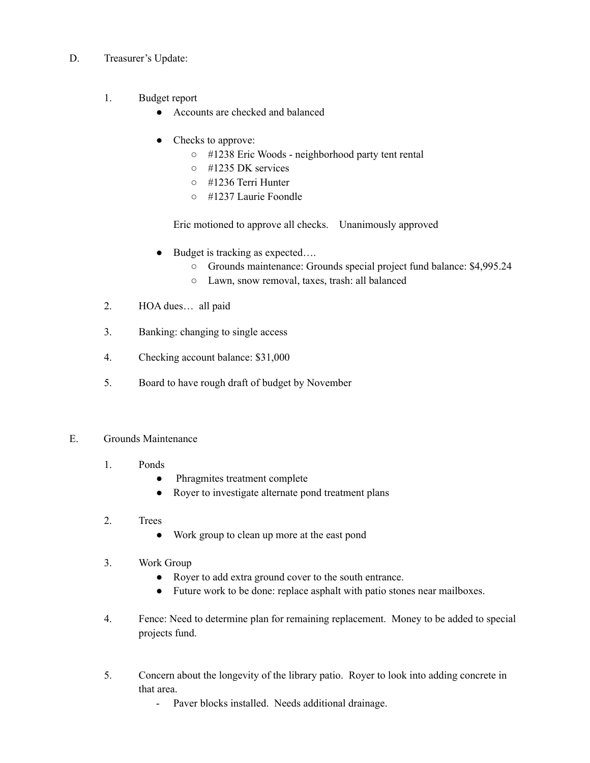- D. Treasurer's Update:
	- 1. Budget report
		- Accounts are checked and balanced
		- Checks to approve:
			- #1238 Eric Woods neighborhood party tent rental
			- #1235 DK services
			- #1236 Terri Hunter
			- #1237 Laurie Foondle

Eric motioned to approve all checks. Unanimously approved

- Budget is tracking as expected….
	- Grounds maintenance: Grounds special project fund balance: \$4,995.24
	- Lawn, snow removal, taxes, trash: all balanced
- 2. HOA dues… all paid
- 3. Banking: changing to single access
- 4. Checking account balance: \$31,000
- 5. Board to have rough draft of budget by November

#### E. Grounds Maintenance

- 1. Ponds
	- Phragmites treatment complete
	- Royer to investigate alternate pond treatment plans

#### 2. Trees

● Work group to clean up more at the east pond

#### 3. Work Group

- Royer to add extra ground cover to the south entrance.
- Future work to be done: replace asphalt with patio stones near mailboxes.
- 4. Fence: Need to determine plan for remaining replacement. Money to be added to special projects fund.
- 5. Concern about the longevity of the library patio. Royer to look into adding concrete in that area.
	- Paver blocks installed. Needs additional drainage.